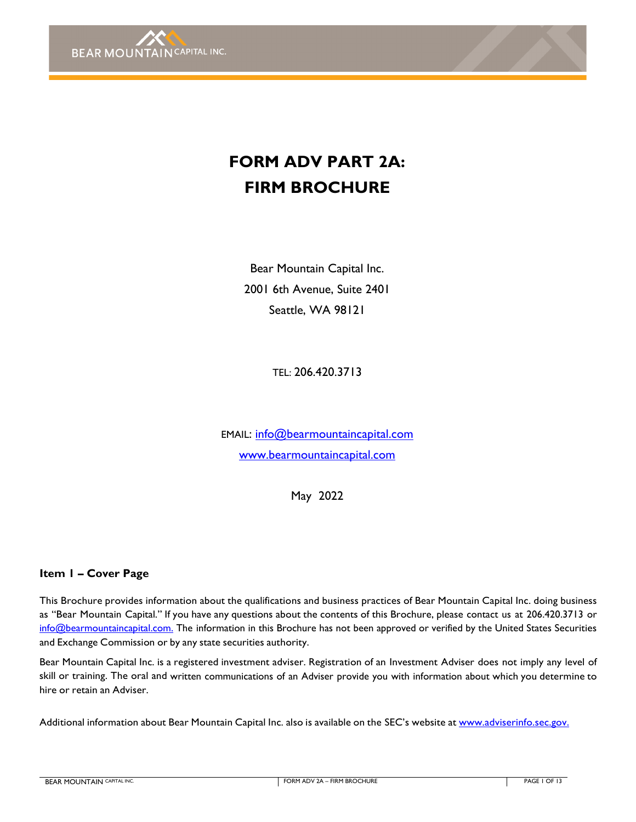

# **FORM ADV PART 2A: FIRM BROCHURE**

Bear Mountain Capital Inc. 2001 6th Avenue, Suite 2401 Seattle, WA 98121

TEL: 206.420.3713

EMAIL: [info@bearmountaincapital.com](mailto:info@bearmountaincapital.com) [www.bearmountaincapital.com](http://www.bearmountaincapital.com/)

May 2022

## <span id="page-0-0"></span>**Item 1 – Cover Page**

This Brochure provides information about the qualifications and business practices of Bear Mountain Capital Inc. doing business as "Bear Mountain Capital." If you have any questions about the contents of this Brochure, please contact us at 206.420.3713 or [info@bearmountaincapital.com.](mailto:info@bearmountaincapital.com.) The information in this Brochure has not been approved or verified by the United States Securities and Exchange Commission or by any state securities authority.

Bear Mountain Capital Inc. is a registered investment adviser. Registration of an Investment Adviser does not imply any level of skill or training. The oral and written communications of an Adviser provide you with information about which you determine to hire or retain an Adviser.

Additional information about Bear Mountain Capital Inc. also is available on the SEC's website at [www.adviserinfo.sec.gov.](http://www.adviserinfo.sec.gov./)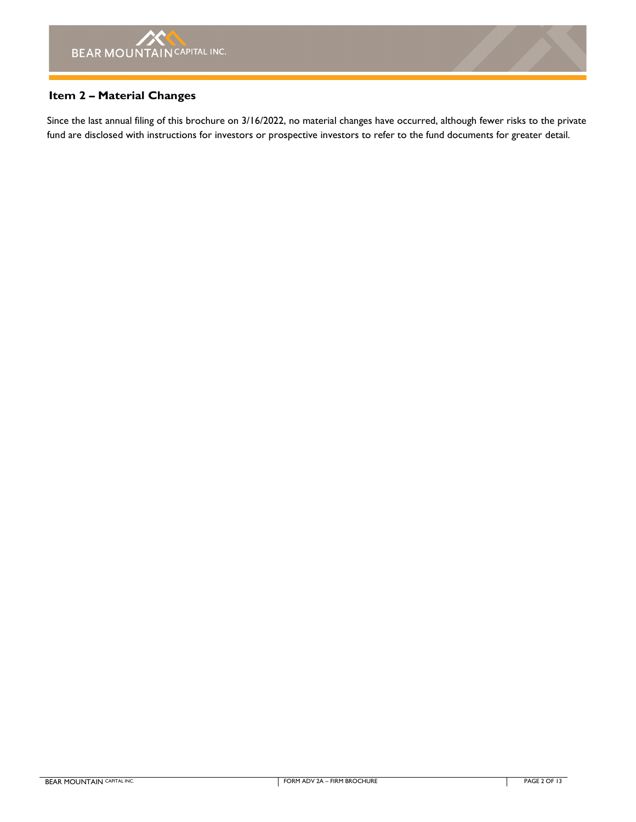## <span id="page-1-0"></span>**Item 2 – Material Changes**

Since the last annual filing of this brochure on 3/16/2022, no material changes have occurred, although fewer risks to the private fund are disclosed with instructions for investors or prospective investors to refer to the fund documents for greater detail.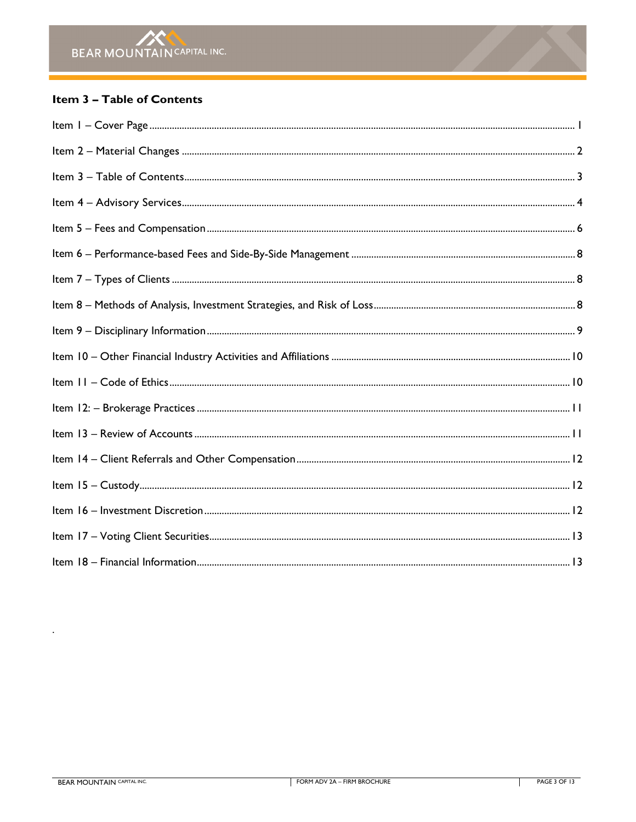## <span id="page-2-0"></span>Item 3 - Table of Contents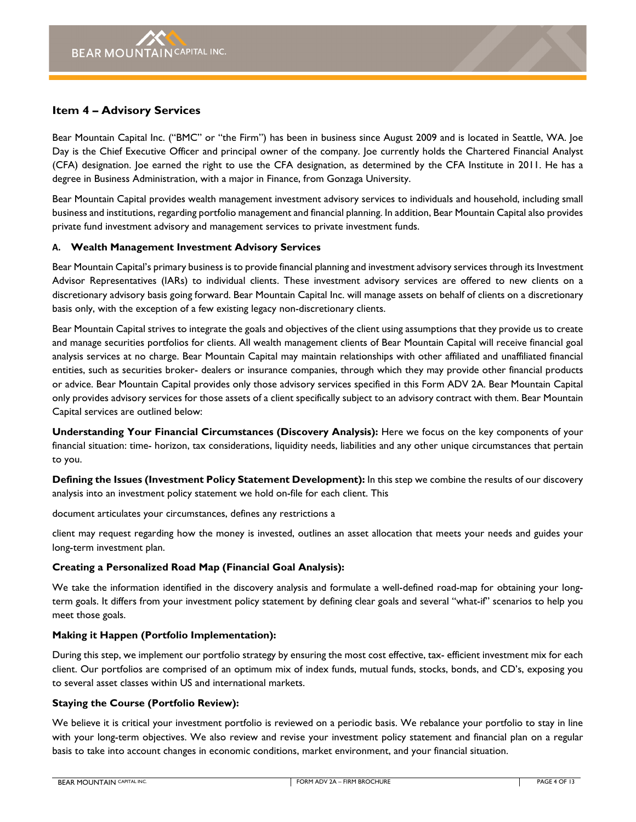## <span id="page-3-0"></span>**Item 4 – Advisory Services**

Bear Mountain Capital Inc. ("BMC" or "the Firm") has been in business since August 2009 and is located in Seattle, WA. Joe Day is the Chief Executive Officer and principal owner of the company. Joe currently holds the Chartered Financial Analyst (CFA) designation. Joe earned the right to use the CFA designation, as determined by the CFA Institute in 2011. He has a degree in Business Administration, with a major in Finance, from Gonzaga University.

Bear Mountain Capital provides wealth management investment advisory services to individuals and household, including small business and institutions, regarding portfolio management and financial planning. In addition, Bear Mountain Capital also provides private fund investment advisory and management services to private investment funds.

#### **A. Wealth Management Investment Advisory Services**

Bear Mountain Capital's primary business is to provide financial planning and investment advisory services through its Investment Advisor Representatives (IARs) to individual clients. These investment advisory services are offered to new clients on a discretionary advisory basis going forward. Bear Mountain Capital Inc. will manage assets on behalf of clients on a discretionary basis only, with the exception of a few existing legacy non-discretionary clients.

Bear Mountain Capital strives to integrate the goals and objectives of the client using assumptions that they provide us to create and manage securities portfolios for clients. All wealth management clients of Bear Mountain Capital will receive financial goal analysis services at no charge. Bear Mountain Capital may maintain relationships with other affiliated and unaffiliated financial entities, such as securities broker- dealers or insurance companies, through which they may provide other financial products or advice. Bear Mountain Capital provides only those advisory services specified in this Form ADV 2A. Bear Mountain Capital only provides advisory services for those assets of a client specifically subject to an advisory contract with them. Bear Mountain Capital services are outlined below:

**Understanding Your Financial Circumstances (Discovery Analysis):** Here we focus on the key components of your financial situation: time- horizon, tax considerations, liquidity needs, liabilities and any other unique circumstances that pertain to you.

**Defining the Issues (Investment Policy Statement Development):** In this step we combine the results of our discovery analysis into an investment policy statement we hold on-file for each client. This

document articulates your circumstances, defines any restrictions a

client may request regarding how the money is invested, outlines an asset allocation that meets your needs and guides your long-term investment plan.

#### **Creating a Personalized Road Map (Financial Goal Analysis):**

We take the information identified in the discovery analysis and formulate a well-defined road-map for obtaining your longterm goals. It differs from your investment policy statement by defining clear goals and several "what-if" scenarios to help you meet those goals.

#### **Making it Happen (Portfolio Implementation):**

During this step, we implement our portfolio strategy by ensuring the most cost effective, tax- efficient investment mix for each client. Our portfolios are comprised of an optimum mix of index funds, mutual funds, stocks, bonds, and CD's, exposing you to several asset classes within US and international markets.

## **Staying the Course (Portfolio Review):**

We believe it is critical your investment portfolio is reviewed on a periodic basis. We rebalance your portfolio to stay in line with your long-term objectives. We also review and revise your investment policy statement and financial plan on a regular basis to take into account changes in economic conditions, market environment, and your financial situation.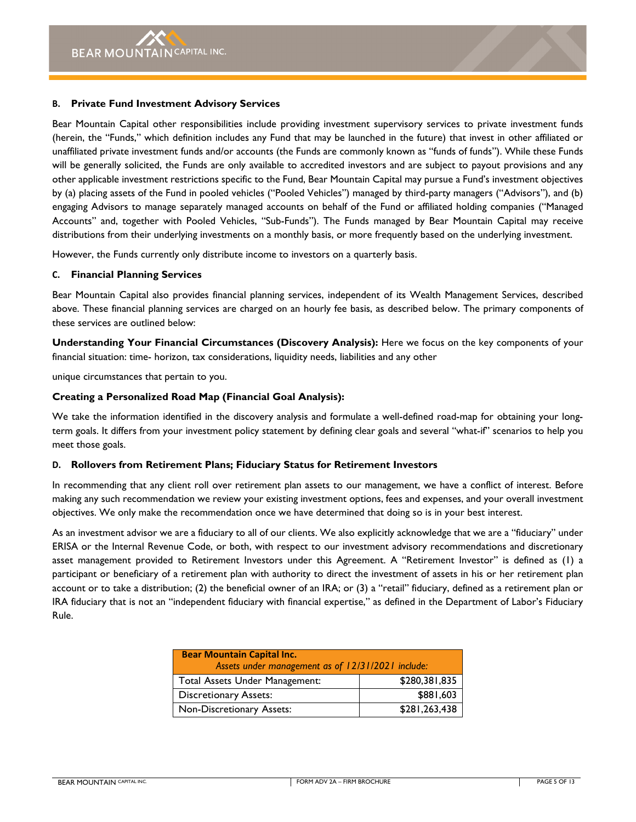#### **B. Private Fund Investment Advisory Services**

Bear Mountain Capital other responsibilities include providing investment supervisory services to private investment funds (herein, the "Funds," which definition includes any Fund that may be launched in the future) that invest in other affiliated or unaffiliated private investment funds and/or accounts (the Funds are commonly known as "funds of funds"). While these Funds will be generally solicited, the Funds are only available to accredited investors and are subject to payout provisions and any other applicable investment restrictions specific to the Fund, Bear Mountain Capital may pursue a Fund's investment objectives by (a) placing assets of the Fund in pooled vehicles ("Pooled Vehicles") managed by third-party managers ("Advisors"), and (b) engaging Advisors to manage separately managed accounts on behalf of the Fund or affiliated holding companies ("Managed Accounts" and, together with Pooled Vehicles, "Sub-Funds"). The Funds managed by Bear Mountain Capital may receive distributions from their underlying investments on a monthly basis, or more frequently based on the underlying investment.

However, the Funds currently only distribute income to investors on a quarterly basis.

#### **C. Financial Planning Services**

Bear Mountain Capital also provides financial planning services, independent of its Wealth Management Services, described above. These financial planning services are charged on an hourly fee basis, as described below. The primary components of these services are outlined below:

**Understanding Your Financial Circumstances (Discovery Analysis):** Here we focus on the key components of your financial situation: time- horizon, tax considerations, liquidity needs, liabilities and any other

unique circumstances that pertain to you.

## **Creating a Personalized Road Map (Financial Goal Analysis):**

We take the information identified in the discovery analysis and formulate a well-defined road-map for obtaining your longterm goals. It differs from your investment policy statement by defining clear goals and several "what-if" scenarios to help you meet those goals.

## **D. Rollovers from Retirement Plans; Fiduciary Status for Retirement Investors**

In recommending that any client roll over retirement plan assets to our management, we have a conflict of interest. Before making any such recommendation we review your existing investment options, fees and expenses, and your overall investment objectives. We only make the recommendation once we have determined that doing so is in your best interest.

As an investment advisor we are a fiduciary to all of our clients. We also explicitly acknowledge that we are a "fiduciary" under ERISA or the Internal Revenue Code, or both, with respect to our investment advisory recommendations and discretionary asset management provided to Retirement Investors under this Agreement. A "Retirement Investor" is defined as (1) a participant or beneficiary of a retirement plan with authority to direct the investment of assets in his or her retirement plan account or to take a distribution; (2) the beneficial owner of an IRA; or (3) a "retail" fiduciary, defined as a retirement plan or IRA fiduciary that is not an "independent fiduciary with financial expertise," as defined in the Department of Labor's Fiduciary Rule.

| <b>Bear Mountain Capital Inc.</b><br>Assets under management as of 12/31/2021 include: |               |  |
|----------------------------------------------------------------------------------------|---------------|--|
| Total Assets Under Management:                                                         | \$280,381,835 |  |
| <b>Discretionary Assets:</b>                                                           | \$881,603     |  |
| Non-Discretionary Assets:                                                              | \$281,263,438 |  |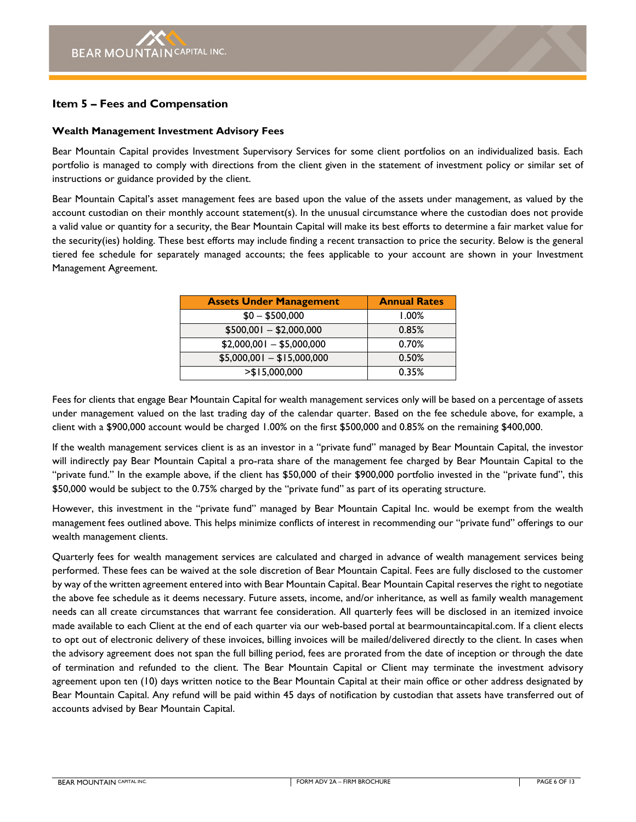## <span id="page-5-0"></span>**Item 5 – Fees and Compensation**

#### **Wealth Management Investment Advisory Fees**

Bear Mountain Capital provides Investment Supervisory Services for some client portfolios on an individualized basis. Each portfolio is managed to comply with directions from the client given in the statement of investment policy or similar set of instructions or guidance provided by the client.

Bear Mountain Capital's asset management fees are based upon the value of the assets under management, as valued by the account custodian on their monthly account statement(s). In the unusual circumstance where the custodian does not provide a valid value or quantity for a security, the Bear Mountain Capital will make its best efforts to determine a fair market value for the security(ies) holding. These best efforts may include finding a recent transaction to price the security. Below is the general tiered fee schedule for separately managed accounts; the fees applicable to your account are shown in your Investment Management Agreement.

| <b>Assets Under Management</b> | <b>Annual Rates</b> |
|--------------------------------|---------------------|
| $$0 - $500,000$                | 1.00%               |
| $$500,001 - $2,000,000$        | 0.85%               |
| $$2,000,001 - $5,000,000$      | 0.70%               |
| $$5,000,001 - $15,000,000$     | 0.50%               |
| > \$15,000,000                 | 0.35%               |

Fees for clients that engage Bear Mountain Capital for wealth management services only will be based on a percentage of assets under management valued on the last trading day of the calendar quarter. Based on the fee schedule above, for example, a client with a \$900,000 account would be charged 1.00% on the first \$500,000 and 0.85% on the remaining \$400,000.

If the wealth management services client is as an investor in a "private fund" managed by Bear Mountain Capital, the investor will indirectly pay Bear Mountain Capital a pro-rata share of the management fee charged by Bear Mountain Capital to the "private fund." In the example above, if the client has \$50,000 of their \$900,000 portfolio invested in the "private fund", this \$50,000 would be subject to the 0.75% charged by the "private fund" as part of its operating structure.

However, this investment in the "private fund" managed by Bear Mountain Capital Inc. would be exempt from the wealth management fees outlined above. This helps minimize conflicts of interest in recommending our "private fund" offerings to our wealth management clients.

Quarterly fees for wealth management services are calculated and charged in advance of wealth management services being performed. These fees can be waived at the sole discretion of Bear Mountain Capital. Fees are fully disclosed to the customer by way of the written agreement entered into with Bear Mountain Capital. Bear Mountain Capital reserves the right to negotiate the above fee schedule as it deems necessary. Future assets, income, and/or inheritance, as well as family wealth management needs can all create circumstances that warrant fee consideration. All quarterly fees will be disclosed in an itemized invoice made available to each Client at the end of each quarter via our web-based portal at bearmountaincapital.com. If a client elects to opt out of electronic delivery of these invoices, billing invoices will be mailed/delivered directly to the client. In cases when the advisory agreement does not span the full billing period, fees are prorated from the date of inception or through the date of termination and refunded to the client. The Bear Mountain Capital or Client may terminate the investment advisory agreement upon ten (10) days written notice to the Bear Mountain Capital at their main office or other address designated by Bear Mountain Capital. Any refund will be paid within 45 days of notification by custodian that assets have transferred out of accounts advised by Bear Mountain Capital.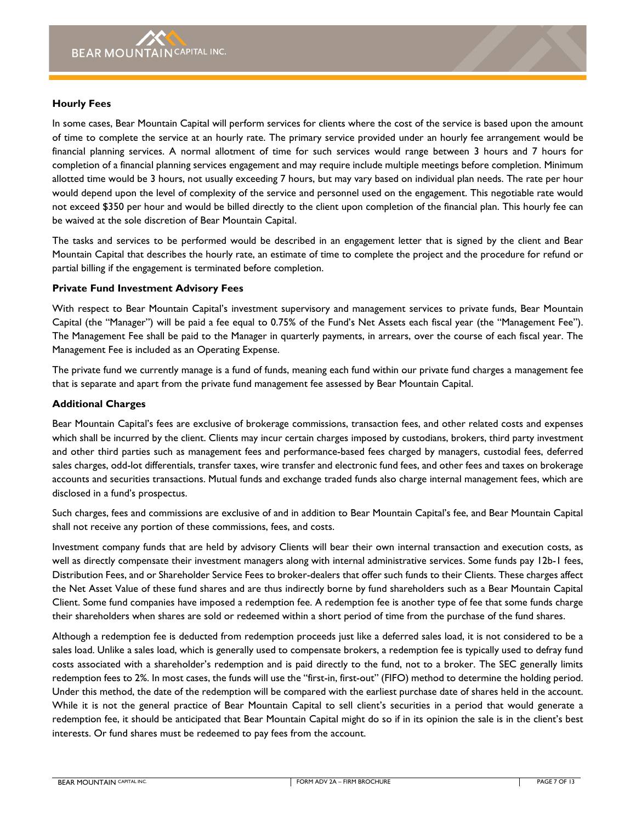#### **Hourly Fees**

In some cases, Bear Mountain Capital will perform services for clients where the cost of the service is based upon the amount of time to complete the service at an hourly rate. The primary service provided under an hourly fee arrangement would be financial planning services. A normal allotment of time for such services would range between 3 hours and 7 hours for completion of a financial planning services engagement and may require include multiple meetings before completion. Minimum allotted time would be 3 hours, not usually exceeding 7 hours, but may vary based on individual plan needs. The rate per hour would depend upon the level of complexity of the service and personnel used on the engagement. This negotiable rate would not exceed \$350 per hour and would be billed directly to the client upon completion of the financial plan. This hourly fee can be waived at the sole discretion of Bear Mountain Capital.

The tasks and services to be performed would be described in an engagement letter that is signed by the client and Bear Mountain Capital that describes the hourly rate, an estimate of time to complete the project and the procedure for refund or partial billing if the engagement is terminated before completion.

#### **Private Fund Investment Advisory Fees**

With respect to Bear Mountain Capital's investment supervisory and management services to private funds, Bear Mountain Capital (the "Manager") will be paid a fee equal to 0.75% of the Fund's Net Assets each fiscal year (the "Management Fee"). The Management Fee shall be paid to the Manager in quarterly payments, in arrears, over the course of each fiscal year. The Management Fee is included as an Operating Expense.

The private fund we currently manage is a fund of funds, meaning each fund within our private fund charges a management fee that is separate and apart from the private fund management fee assessed by Bear Mountain Capital.

#### **Additional Charges**

Bear Mountain Capital's fees are exclusive of brokerage commissions, transaction fees, and other related costs and expenses which shall be incurred by the client. Clients may incur certain charges imposed by custodians, brokers, third party investment and other third parties such as management fees and performance-based fees charged by managers, custodial fees, deferred sales charges, odd-lot differentials, transfer taxes, wire transfer and electronic fund fees, and other fees and taxes on brokerage accounts and securities transactions. Mutual funds and exchange traded funds also charge internal management fees, which are disclosed in a fund's prospectus.

Such charges, fees and commissions are exclusive of and in addition to Bear Mountain Capital's fee, and Bear Mountain Capital shall not receive any portion of these commissions, fees, and costs.

Investment company funds that are held by advisory Clients will bear their own internal transaction and execution costs, as well as directly compensate their investment managers along with internal administrative services. Some funds pay 12b-1 fees, Distribution Fees, and or Shareholder Service Fees to broker-dealers that offer such funds to their Clients. These charges affect the Net Asset Value of these fund shares and are thus indirectly borne by fund shareholders such as a Bear Mountain Capital Client. Some fund companies have imposed a redemption fee. A redemption fee is another type of fee that some funds charge their shareholders when shares are sold or redeemed within a short period of time from the purchase of the fund shares.

Although a redemption fee is deducted from redemption proceeds just like a deferred sales load, it is not considered to be a sales load. Unlike a sales load, which is generally used to compensate brokers, a redemption fee is typically used to defray fund costs associated with a shareholder's redemption and is paid directly to the fund, not to a broker. The SEC generally limits redemption fees to 2%. In most cases, the funds will use the "first-in, first-out" (FIFO) method to determine the holding period. Under this method, the date of the redemption will be compared with the earliest purchase date of shares held in the account. While it is not the general practice of Bear Mountain Capital to sell client's securities in a period that would generate a redemption fee, it should be anticipated that Bear Mountain Capital might do so if in its opinion the sale is in the client's best interests. Or fund shares must be redeemed to pay fees from the account.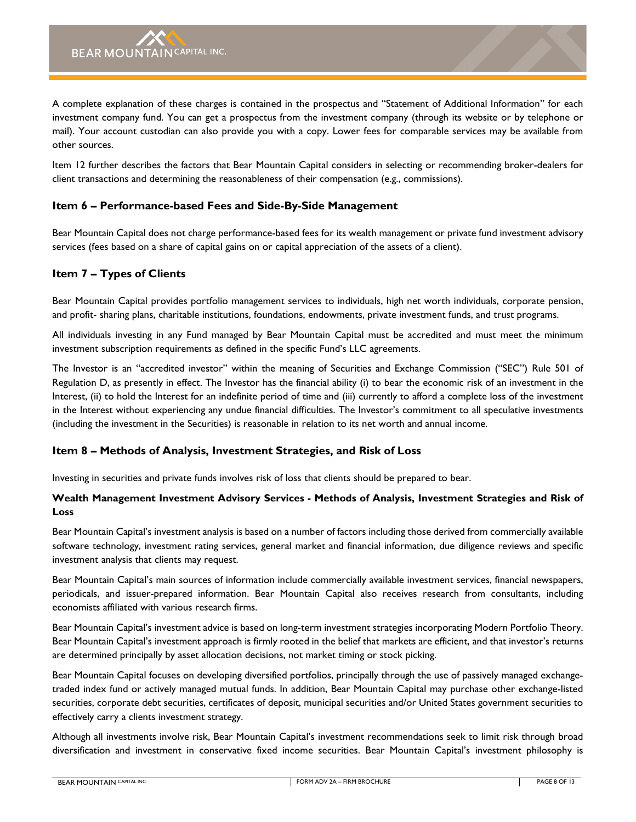A complete explanation of these charges is contained in the prospectus and "Statement of Additional Information" for each investment company fund. You can get a prospectus from the investment company (through its website or by telephone or mail). Your account custodian can also provide you with a copy. Lower fees for comparable services may be available from other sources.

Item 12 further describes the factors that Bear Mountain Capital considers in selecting or recommending broker-dealers for client transactions and determining the reasonableness of their compensation (e.g., commissions).

## <span id="page-7-0"></span>**Item 6 – Performance-based Fees and Side-By-Side Management**

Bear Mountain Capital does not charge performance-based fees for its wealth management or private fund investment advisory services (fees based on a share of capital gains on or capital appreciation of the assets of a client).

## <span id="page-7-1"></span>**Item 7 – Types of Clients**

Bear Mountain Capital provides portfolio management services to individuals, high net worth individuals, corporate pension, and profit- sharing plans, charitable institutions, foundations, endowments, private investment funds, and trust programs.

All individuals investing in any Fund managed by Bear Mountain Capital must be accredited and must meet the minimum investment subscription requirements as defined in the specific Fund's LLC agreements.

The Investor is an "accredited investor" within the meaning of Securities and Exchange Commission ("SEC") Rule 501 of Regulation D, as presently in effect. The Investor has the financial ability (i) to bear the economic risk of an investment in the Interest, (ii) to hold the Interest for an indefinite period of time and (iii) currently to afford a complete loss of the investment in the Interest without experiencing any undue financial difficulties. The Investor's commitment to all speculative investments (including the investment in the Securities) is reasonable in relation to its net worth and annual income.

## <span id="page-7-2"></span>**Item 8 – Methods of Analysis, Investment Strategies, and Risk of Loss**

Investing in securities and private funds involves risk of loss that clients should be prepared to bear.

## **Wealth Management Investment Advisory Services - Methods of Analysis, Investment Strategies and Risk of Loss**

Bear Mountain Capital's investment analysis is based on a number of factors including those derived from commercially available software technology, investment rating services, general market and financial information, due diligence reviews and specific investment analysis that clients may request.

Bear Mountain Capital's main sources of information include commercially available investment services, financial newspapers, periodicals, and issuer-prepared information. Bear Mountain Capital also receives research from consultants, including economists affiliated with various research firms.

Bear Mountain Capital's investment advice is based on long-term investment strategies incorporating Modern Portfolio Theory. Bear Mountain Capital's investment approach is firmly rooted in the belief that markets are efficient, and that investor's returns are determined principally by asset allocation decisions, not market timing or stock picking.

Bear Mountain Capital focuses on developing diversified portfolios, principally through the use of passively managed exchangetraded index fund or actively managed mutual funds. In addition, Bear Mountain Capital may purchase other exchange-listed securities, corporate debt securities, certificates of deposit, municipal securities and/or United States government securities to effectively carry a clients investment strategy.

Although all investments involve risk, Bear Mountain Capital's investment recommendations seek to limit risk through broad diversification and investment in conservative fixed income securities. Bear Mountain Capital's investment philosophy is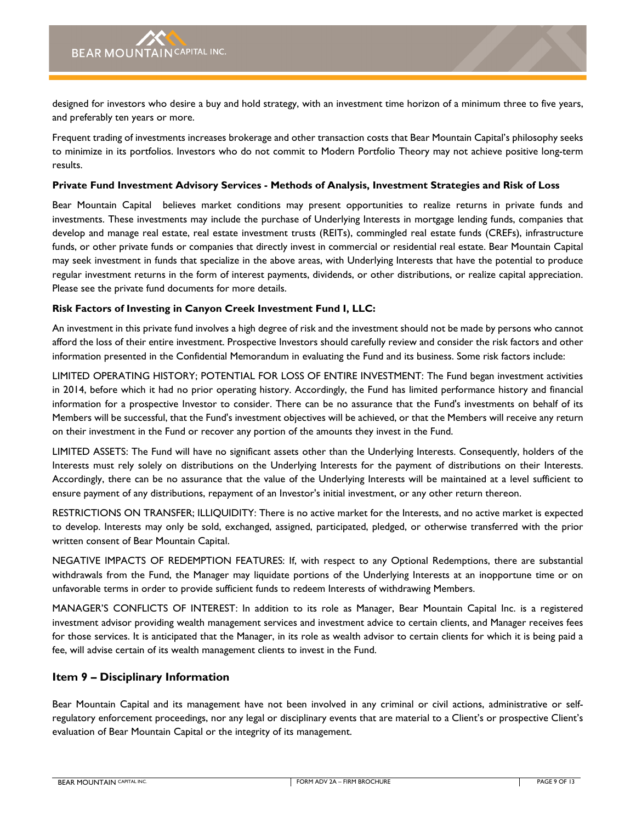designed for investors who desire a buy and hold strategy, with an investment time horizon of a minimum three to five years, and preferably ten years or more.

Frequent trading of investments increases brokerage and other transaction costs that Bear Mountain Capital's philosophy seeks to minimize in its portfolios. Investors who do not commit to Modern Portfolio Theory may not achieve positive long-term results.

#### **Private Fund Investment Advisory Services - Methods of Analysis, Investment Strategies and Risk of Loss**

Bear Mountain Capital believes market conditions may present opportunities to realize returns in private funds and investments. These investments may include the purchase of Underlying Interests in mortgage lending funds, companies that develop and manage real estate, real estate investment trusts (REITs), commingled real estate funds (CREFs), infrastructure funds, or other private funds or companies that directly invest in commercial or residential real estate. Bear Mountain Capital may seek investment in funds that specialize in the above areas, with Underlying Interests that have the potential to produce regular investment returns in the form of interest payments, dividends, or other distributions, or realize capital appreciation. Please see the private fund documents for more details.

## **Risk Factors of Investing in Canyon Creek Investment Fund I, LLC:**

An investment in this private fund involves a high degree of risk and the investment should not be made by persons who cannot afford the loss of their entire investment. Prospective Investors should carefully review and consider the risk factors and other information presented in the Confidential Memorandum in evaluating the Fund and its business. Some risk factors include:

LIMITED OPERATING HISTORY; POTENTIAL FOR LOSS OF ENTIRE INVESTMENT: The Fund began investment activities in 2014, before which it had no prior operating history. Accordingly, the Fund has limited performance history and financial information for a prospective Investor to consider. There can be no assurance that the Fund's investments on behalf of its Members will be successful, that the Fund's investment objectives will be achieved, or that the Members will receive any return on their investment in the Fund or recover any portion of the amounts they invest in the Fund.

LIMITED ASSETS: The Fund will have no significant assets other than the Underlying Interests. Consequently, holders of the Interests must rely solely on distributions on the Underlying Interests for the payment of distributions on their Interests. Accordingly, there can be no assurance that the value of the Underlying Interests will be maintained at a level sufficient to ensure payment of any distributions, repayment of an Investor's initial investment, or any other return thereon.

RESTRICTIONS ON TRANSFER; ILLIQUIDITY: There is no active market for the Interests, and no active market is expected to develop. Interests may only be sold, exchanged, assigned, participated, pledged, or otherwise transferred with the prior written consent of Bear Mountain Capital.

NEGATIVE IMPACTS OF REDEMPTION FEATURES: If, with respect to any Optional Redemptions, there are substantial withdrawals from the Fund, the Manager may liquidate portions of the Underlying Interests at an inopportune time or on unfavorable terms in order to provide sufficient funds to redeem Interests of withdrawing Members.

MANAGER'S CONFLICTS OF INTEREST: In addition to its role as Manager, Bear Mountain Capital Inc. is a registered investment advisor providing wealth management services and investment advice to certain clients, and Manager receives fees for those services. It is anticipated that the Manager, in its role as wealth advisor to certain clients for which it is being paid a fee, will advise certain of its wealth management clients to invest in the Fund.

## <span id="page-8-0"></span>**Item 9 – Disciplinary Information**

Bear Mountain Capital and its management have not been involved in any criminal or civil actions, administrative or selfregulatory enforcement proceedings, nor any legal or disciplinary events that are material to a Client's or prospective Client's evaluation of Bear Mountain Capital or the integrity of its management.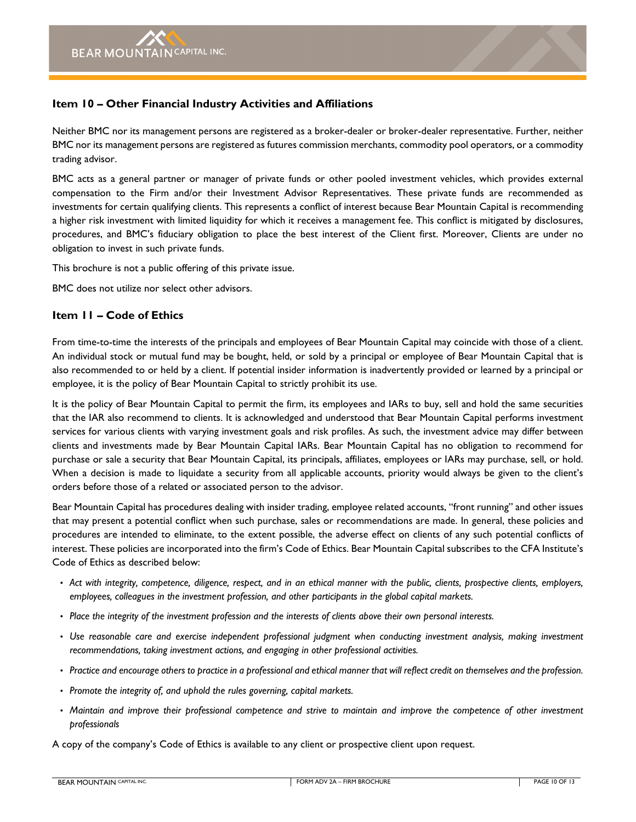## <span id="page-9-0"></span>**Item 10 – Other Financial Industry Activities and Affiliations**

Neither BMC nor its management persons are registered as a broker-dealer or broker-dealer representative. Further, neither BMC nor its management persons are registered as futures commission merchants, commodity pool operators, or a commodity trading advisor.

BMC acts as a general partner or manager of private funds or other pooled investment vehicles, which provides external compensation to the Firm and/or their Investment Advisor Representatives. These private funds are recommended as investments for certain qualifying clients. This represents a conflict of interest because Bear Mountain Capital is recommending a higher risk investment with limited liquidity for which it receives a management fee. This conflict is mitigated by disclosures, procedures, and BMC's fiduciary obligation to place the best interest of the Client first. Moreover, Clients are under no obligation to invest in such private funds.

This brochure is not a public offering of this private issue.

BMC does not utilize nor select other advisors.

## <span id="page-9-1"></span>**Item 11 – Code of Ethics**

From time-to-time the interests of the principals and employees of Bear Mountain Capital may coincide with those of a client. An individual stock or mutual fund may be bought, held, or sold by a principal or employee of Bear Mountain Capital that is also recommended to or held by a client. If potential insider information is inadvertently provided or learned by a principal or employee, it is the policy of Bear Mountain Capital to strictly prohibit its use.

It is the policy of Bear Mountain Capital to permit the firm, its employees and IARs to buy, sell and hold the same securities that the IAR also recommend to clients. It is acknowledged and understood that Bear Mountain Capital performs investment services for various clients with varying investment goals and risk profiles. As such, the investment advice may differ between clients and investments made by Bear Mountain Capital IARs. Bear Mountain Capital has no obligation to recommend for purchase or sale a security that Bear Mountain Capital, its principals, affiliates, employees or IARs may purchase, sell, or hold. When a decision is made to liquidate a security from all applicable accounts, priority would always be given to the client's orders before those of a related or associated person to the advisor.

Bear Mountain Capital has procedures dealing with insider trading, employee related accounts, "front running" and other issues that may present a potential conflict when such purchase, sales or recommendations are made. In general, these policies and procedures are intended to eliminate, to the extent possible, the adverse effect on clients of any such potential conflicts of interest. These policies are incorporated into the firm's Code of Ethics. Bear Mountain Capital subscribes to the CFA Institute's Code of Ethics as described below:

- *• Act with integrity, competence, diligence, respect, and in an ethical manner with the public, clients, prospective clients, employers, employees, colleagues in the investment profession, and other participants in the global capital markets.*
- *• Place the integrity of the investment profession and the interests of clients above their own personal interests.*
- *• Use reasonable care and exercise independent professional judgment when conducting investment analysis, making investment recommendations, taking investment actions, and engaging in other professional activities.*
- *• Practice and encourage others to practice in a professional and ethical manner that will reflect credit on themselves and the profession.*
- *• Promote the integrity of, and uphold the rules governing, capital markets.*
- *• Maintain and improve their professional competence and strive to maintain and improve the competence of other investment professionals*

A copy of the company's Code of Ethics is available to any client or prospective client upon request.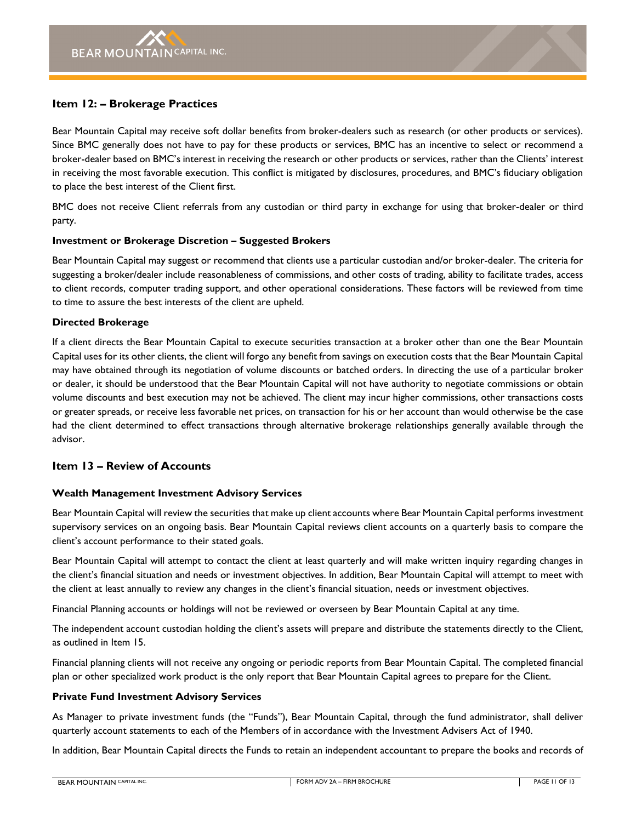## <span id="page-10-0"></span>**Item 12: – Brokerage Practices**

Bear Mountain Capital may receive soft dollar benefits from broker-dealers such as research (or other products or services). Since BMC generally does not have to pay for these products or services, BMC has an incentive to select or recommend a broker-dealer based on BMC's interest in receiving the research or other products or services, rather than the Clients' interest in receiving the most favorable execution. This conflict is mitigated by disclosures, procedures, and BMC's fiduciary obligation to place the best interest of the Client first.

BMC does not receive Client referrals from any custodian or third party in exchange for using that broker-dealer or third party.

#### **Investment or Brokerage Discretion – Suggested Brokers**

Bear Mountain Capital may suggest or recommend that clients use a particular custodian and/or broker-dealer. The criteria for suggesting a broker/dealer include reasonableness of commissions, and other costs of trading, ability to facilitate trades, access to client records, computer trading support, and other operational considerations. These factors will be reviewed from time to time to assure the best interests of the client are upheld.

#### **Directed Brokerage**

If a client directs the Bear Mountain Capital to execute securities transaction at a broker other than one the Bear Mountain Capital uses for its other clients, the client will forgo any benefit from savings on execution costs that the Bear Mountain Capital may have obtained through its negotiation of volume discounts or batched orders. In directing the use of a particular broker or dealer, it should be understood that the Bear Mountain Capital will not have authority to negotiate commissions or obtain volume discounts and best execution may not be achieved. The client may incur higher commissions, other transactions costs or greater spreads, or receive less favorable net prices, on transaction for his or her account than would otherwise be the case had the client determined to effect transactions through alternative brokerage relationships generally available through the advisor.

## <span id="page-10-1"></span>**Item 13 – Review of Accounts**

## **Wealth Management Investment Advisory Services**

Bear Mountain Capital will review the securities that make up client accounts where Bear Mountain Capital performs investment supervisory services on an ongoing basis. Bear Mountain Capital reviews client accounts on a quarterly basis to compare the client's account performance to their stated goals.

Bear Mountain Capital will attempt to contact the client at least quarterly and will make written inquiry regarding changes in the client's financial situation and needs or investment objectives. In addition, Bear Mountain Capital will attempt to meet with the client at least annually to review any changes in the client's financial situation, needs or investment objectives.

Financial Planning accounts or holdings will not be reviewed or overseen by Bear Mountain Capital at any time.

The independent account custodian holding the client's assets will prepare and distribute the statements directly to the Client, as outlined in Item 15.

Financial planning clients will not receive any ongoing or periodic reports from Bear Mountain Capital. The completed financial plan or other specialized work product is the only report that Bear Mountain Capital agrees to prepare for the Client.

#### **Private Fund Investment Advisory Services**

As Manager to private investment funds (the "Funds"), Bear Mountain Capital, through the fund administrator, shall deliver quarterly account statements to each of the Members of in accordance with the Investment Advisers Act of 1940.

In addition, Bear Mountain Capital directs the Funds to retain an independent accountant to prepare the books and records of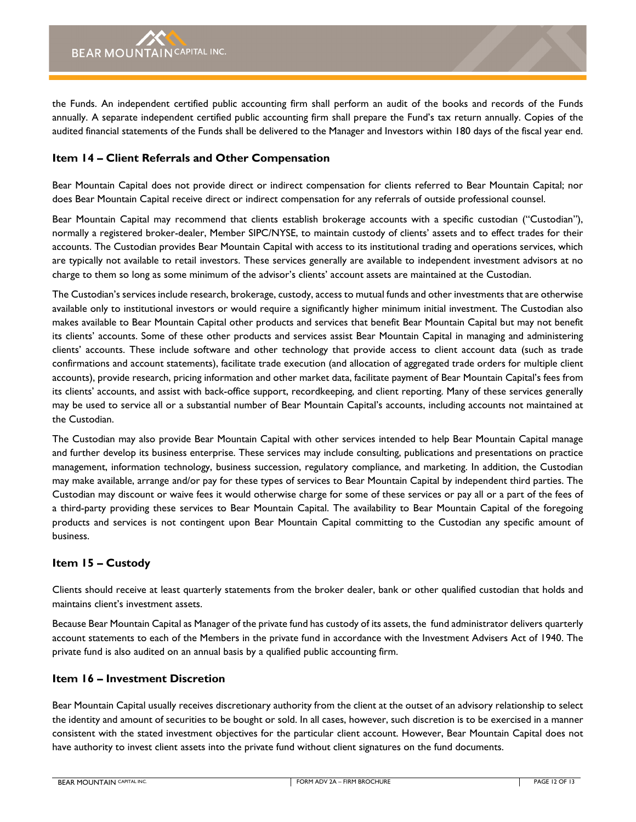the Funds. An independent certified public accounting firm shall perform an audit of the books and records of the Funds annually. A separate independent certified public accounting firm shall prepare the Fund's tax return annually. Copies of the audited financial statements of the Funds shall be delivered to the Manager and Investors within 180 days of the fiscal year end.

## <span id="page-11-0"></span>**Item 14 – Client Referrals and Other Compensation**

Bear Mountain Capital does not provide direct or indirect compensation for clients referred to Bear Mountain Capital; nor does Bear Mountain Capital receive direct or indirect compensation for any referrals of outside professional counsel.

Bear Mountain Capital may recommend that clients establish brokerage accounts with a specific custodian ("Custodian"), normally a registered broker-dealer, Member SIPC/NYSE, to maintain custody of clients' assets and to effect trades for their accounts. The Custodian provides Bear Mountain Capital with access to its institutional trading and operations services, which are typically not available to retail investors. These services generally are available to independent investment advisors at no charge to them so long as some minimum of the advisor's clients' account assets are maintained at the Custodian.

The Custodian's services include research, brokerage, custody, access to mutual funds and other investments that are otherwise available only to institutional investors or would require a significantly higher minimum initial investment. The Custodian also makes available to Bear Mountain Capital other products and services that benefit Bear Mountain Capital but may not benefit its clients' accounts. Some of these other products and services assist Bear Mountain Capital in managing and administering clients' accounts. These include software and other technology that provide access to client account data (such as trade confirmations and account statements), facilitate trade execution (and allocation of aggregated trade orders for multiple client accounts), provide research, pricing information and other market data, facilitate payment of Bear Mountain Capital's fees from its clients' accounts, and assist with back-office support, recordkeeping, and client reporting. Many of these services generally may be used to service all or a substantial number of Bear Mountain Capital's accounts, including accounts not maintained at the Custodian.

The Custodian may also provide Bear Mountain Capital with other services intended to help Bear Mountain Capital manage and further develop its business enterprise. These services may include consulting, publications and presentations on practice management, information technology, business succession, regulatory compliance, and marketing. In addition, the Custodian may make available, arrange and/or pay for these types of services to Bear Mountain Capital by independent third parties. The Custodian may discount or waive fees it would otherwise charge for some of these services or pay all or a part of the fees of a third-party providing these services to Bear Mountain Capital. The availability to Bear Mountain Capital of the foregoing products and services is not contingent upon Bear Mountain Capital committing to the Custodian any specific amount of business.

## <span id="page-11-1"></span>**Item 15 – Custody**

Clients should receive at least quarterly statements from the broker dealer, bank or other qualified custodian that holds and maintains client's investment assets.

Because Bear Mountain Capital as Manager of the private fund has custody of its assets, the fund administrator delivers quarterly account statements to each of the Members in the private fund in accordance with the Investment Advisers Act of 1940. The private fund is also audited on an annual basis by a qualified public accounting firm.

## <span id="page-11-2"></span>**Item 16 – Investment Discretion**

Bear Mountain Capital usually receives discretionary authority from the client at the outset of an advisory relationship to select the identity and amount of securities to be bought or sold. In all cases, however, such discretion is to be exercised in a manner consistent with the stated investment objectives for the particular client account. However, Bear Mountain Capital does not have authority to invest client assets into the private fund without client signatures on the fund documents.